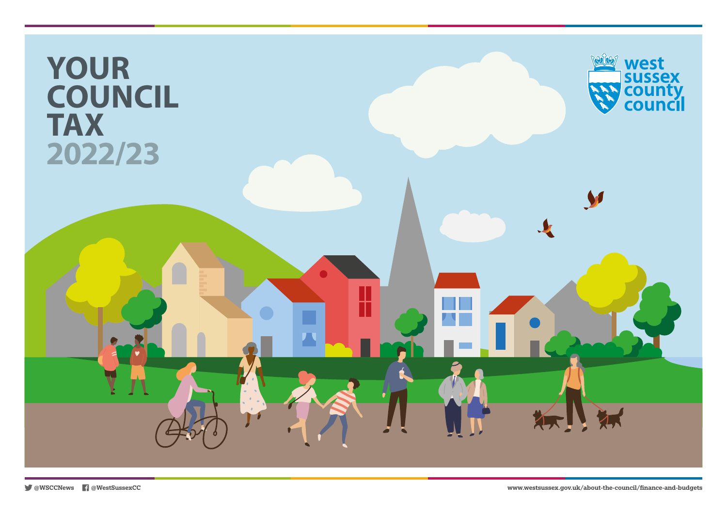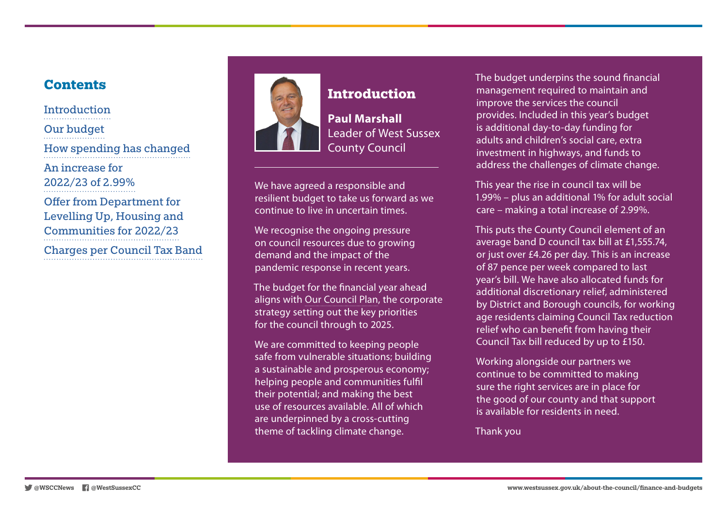#### **Contents**

**Introduction** [Our budget](#page-2-0) [How spending has changed](#page-3-0) [An increase for](#page-3-0)  [2022/23 of 2.99%](#page-3-0) [Offer from Department for](#page-4-0)  [Levelling Up, Housing and](#page-4-0)  [Communities for 2022/23](#page-4-0) [Charges per Council Tax Band](#page-4-0)



# **Introduction**

**Paul Marshall** Leader of West Sussex County Council

We have agreed a responsible and resilient budget to take us forward as we continue to live in uncertain times.

We recognise the ongoing pressure on council resources due to growing demand and the impact of the pandemic response in recent years.

The budget for the financial year ahead aligns with [Our Council Plan,](https://www.westsussex.gov.uk/about-the-council/policies-and-reports/corporate-policy-and-reports/our-council-plan/) the corporate strategy setting out the key priorities for the council through to 2025.

We are committed to keeping people safe from vulnerable situations; building a sustainable and prosperous economy; helping people and communities fulfil their potential; and making the best use of resources available. All of which are underpinned by a cross-cutting theme of tackling climate change.

The budget underpins the sound financial management required to maintain and improve the services the council provides. Included in this year's budget is additional day-to-day funding for adults and children's social care, extra investment in highways, and funds to address the challenges of climate change.

This year the rise in council tax will be 1.99% – plus an additional 1% for adult social care – making a total increase of 2.99%.

This puts the County Council element of an average band D council tax bill at £1,555.74, or just over £4.26 per day. This is an increase of 87 pence per week compared to last year's bill. We have also allocated funds for additional discretionary relief, administered by District and Borough councils, for working age residents claiming Council Tax reduction relief who can benefit from having their Council Tax bill reduced by up to £150.

Working alongside our partners we continue to be committed to making sure the right services are in place for the good of our county and that support is available for residents in need.

Thank you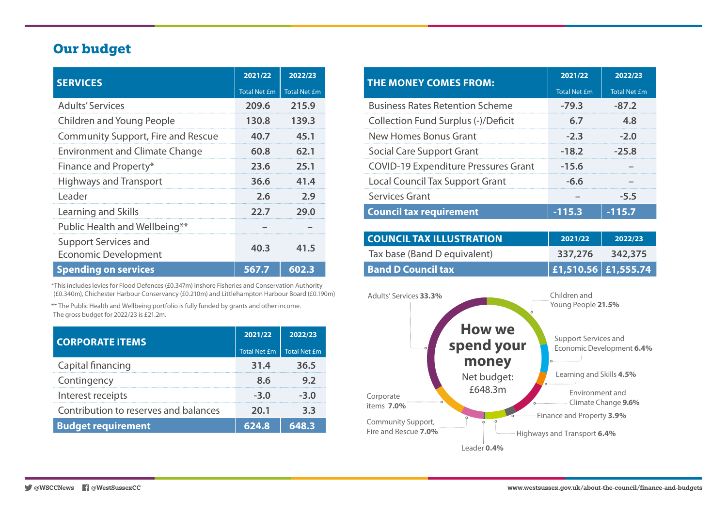#### <span id="page-2-0"></span>**Our budget**

| <b>SERVICES</b>                                     | 2021/22             | 2022/23             |
|-----------------------------------------------------|---------------------|---------------------|
|                                                     | <b>Total Net £m</b> | <b>Total Net £m</b> |
| <b>Adults' Services</b>                             | 209.6               | 215.9               |
| Children and Young People                           | 130.8               | 139.3               |
| <b>Community Support, Fire and Rescue</b>           | 40.7                | 45.1                |
| <b>Environment and Climate Change</b>               | 60.8                | 62.1                |
| Finance and Property*                               | 23.6                | 25.1                |
| <b>Highways and Transport</b>                       | 36.6                | 41.4                |
| Leader                                              | 2.6                 | 2.9                 |
| Learning and Skills                                 | 22.7                | 29.0                |
| Public Health and Wellbeing**                       |                     |                     |
| Support Services and<br><b>Economic Development</b> | 40.3                | 41.5                |
| <b>Spending on services</b>                         | 567.7               | 602.3               |

\*This includes levies for Flood Defences (£0.347m) Inshore Fisheries and Conservation Authority (£0.340m), Chichester Harbour Conservancy (£0.210m) and Littlehampton Harbour Board (£0.190m)

\*\* The Public Health and Wellbeing portfolio is fully funded by grants and other income. The gross budget for 2022/23 is £21.2m.

| <b>CORPORATE ITEMS</b>                | 2021/22             | 2022/23      |
|---------------------------------------|---------------------|--------------|
|                                       | <b>Total Net £m</b> | Total Net £m |
| Capital financing                     | 31.4                | 36.5         |
| Contingency                           | ጸ 6                 |              |
| Interest receipts                     | $-3.0$              | -3.0         |
| Contribution to reserves and balances | 20.1                |              |
| <b>Budget requirement</b>             | 624.8               | 648.3        |

| <b>THE MONEY COMES FROM:</b>                | 2021/22             | 2022/23             |
|---------------------------------------------|---------------------|---------------------|
|                                             | <b>Total Net £m</b> | <b>Total Net £m</b> |
| <b>Business Rates Retention Scheme</b>      | $-79.3$             | $-87.2$             |
| Collection Fund Surplus (-)/Deficit         | 6.7                 | 4.8                 |
| New Homes Bonus Grant                       | $-2.3$              | -20                 |
| <b>Social Care Support Grant</b>            | $-18.2$             | -25.8               |
| <b>COVID-19 Expenditure Pressures Grant</b> | $-15.6$             |                     |
| <b>Local Council Tax Support Grant</b>      | -6.6                |                     |
| Services Grant                              |                     | -5.5                |
| <b>Council tax requirement</b>              | $-115.3$            | $-115.7$            |

| <b>COUNCIL TAX ILLUSTRATION</b> | 2021/22                  | 2022/23 |
|---------------------------------|--------------------------|---------|
| Tax base (Band D equivalent)    | 337,276                  | 342,375 |
| <b>Band D Council tax</b>       | $\ $ £1,510.56 £1,555.74 |         |

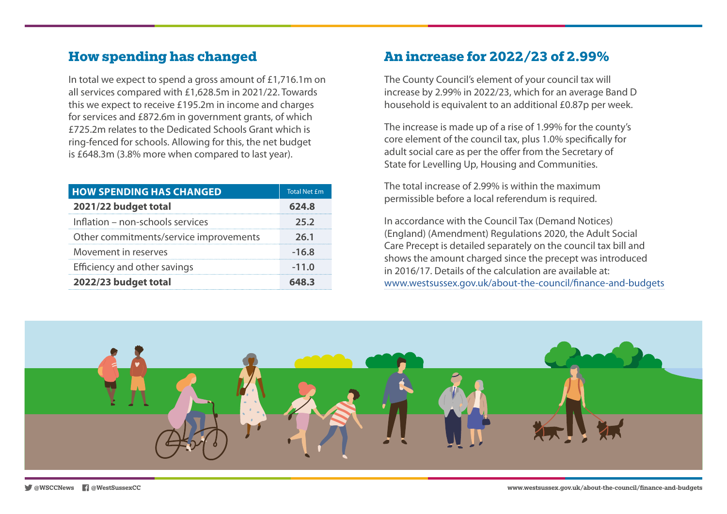### <span id="page-3-0"></span>**How spending has changed**

In total we expect to spend a gross amount of £1,716.1m on all services compared with £1,628.5m in 2021/22. Towards this we expect to receive £195.2m in income and charges for services and £872.6m in government grants, of which £725.2m relates to the Dedicated Schools Grant which is ring-fenced for schools. Allowing for this, the net budget is £648.3m (3.8% more when compared to last year).

| <b>HOW SPENDING HAS CHANGED</b>        | Total Net £m |
|----------------------------------------|--------------|
| 2021/22 budget total                   | 624.8        |
| Inflation - non-schools services       | 25.2         |
| Other commitments/service improvements | 26.1         |
| Movement in reserves                   | $-16.8$      |
| Efficiency and other savings           | $-11.0$      |
| 2022/23 budget total                   | 648.3        |

### **An increase for 2022/23 of 2.99%**

The County Council's element of your council tax will increase by 2.99% in 2022/23, which for an average Band D household is equivalent to an additional £0.87p per week.

The increase is made up of a rise of 1.99% for the county's core element of the council tax, plus 1.0% specifically for adult social care as per the offer from the Secretary of State for Levelling Up, Housing and Communities.

The total increase of 2.99% is within the maximum permissible before a local referendum is required.

In accordance with the Council Tax (Demand Notices) (England) (Amendment) Regulations 2020, the Adult Social Care Precept is detailed separately on the council tax bill and shows the amount charged since the precept was introduced in 2016/17. Details of the calculation are available at: [www.westsussex.gov.uk/about-the-council/finance-and-budgets](http://www.westsussex.gov.uk/about-the-council/finance-and-budgets)